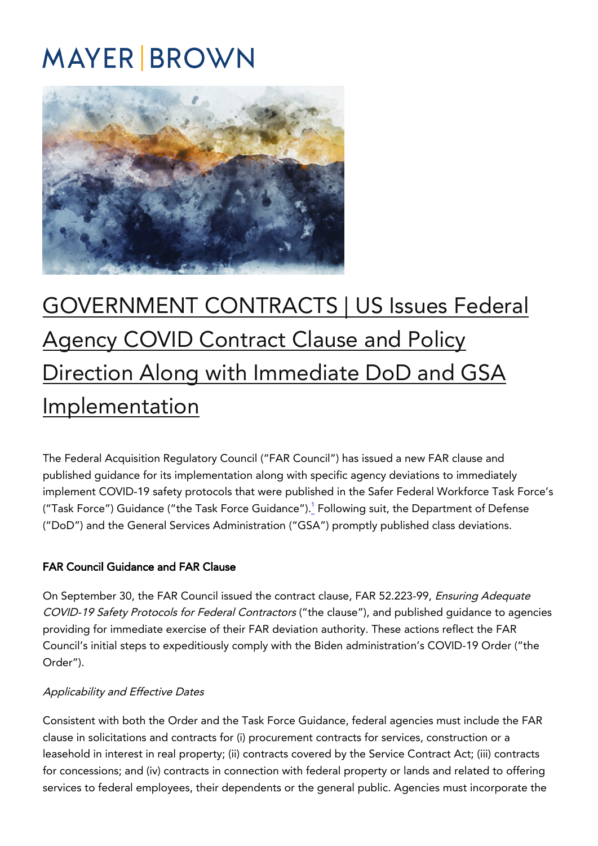# **MAYER BROWN**



# [GOVERNMENT CONTRACTS | US Issues Federal](https://covid19.mayerbrown.com/government-contracts-us-issues-federal-agency-covid-contract-clause-and-policy-direction-along-with-immediate-dod-and-gsa-implementation/) [Agency COVID Contract Clause and Policy](https://covid19.mayerbrown.com/government-contracts-us-issues-federal-agency-covid-contract-clause-and-policy-direction-along-with-immediate-dod-and-gsa-implementation/) [Direction Along with Immediate DoD and GSA](https://covid19.mayerbrown.com/government-contracts-us-issues-federal-agency-covid-contract-clause-and-policy-direction-along-with-immediate-dod-and-gsa-implementation/) [Implementation](https://covid19.mayerbrown.com/government-contracts-us-issues-federal-agency-covid-contract-clause-and-policy-direction-along-with-immediate-dod-and-gsa-implementation/)

The Federal Acquisition Regulatory Council ("FAR Council") has issued a new FAR clause and published guidance for its implementation along with specific agency deviations to immediately implement COVID-19 safety protocols that were published in the Safer Federal Workforce Task Force's ("Task Force") Guidance ("the Task Force Guidance").<u><sup>[1](https://www.mayerbrown.com/en/perspectives-events/publications/2021/10/us-issues-federal-agency-covid-contract-clause-and-policy-direction-along-with-immediate-dod-and-gsa-implementation?utm_source=vuture&utm_medium=email&utm_campaign={vx:campaign%20name}#One)</sup></u> Following suit, the Department of Defense ("DoD") and the General Services Administration ("GSA") promptly published class deviations.

## FAR Council Guidance and FAR Clause

On September 30, the FAR Council issued the contract clause, FAR 52.223-99, Ensuring Adequate COVID-19 Safety Protocols for Federal Contractors ("the clause"), and published guidance to agencies providing for immediate exercise of their FAR deviation authority. These actions reflect the FAR Council's initial steps to expeditiously comply with the Biden administration's COVID-19 Order ("the Order").

#### Applicability and Effective Dates

Consistent with both the Order and the Task Force Guidance, federal agencies must include the FAR clause in solicitations and contracts for (i) procurement contracts for services, construction or a leasehold in interest in real property; (ii) contracts covered by the Service Contract Act; (iii) contracts for concessions; and (iv) contracts in connection with federal property or lands and related to offering services to federal employees, their dependents or the general public. Agencies must incorporate the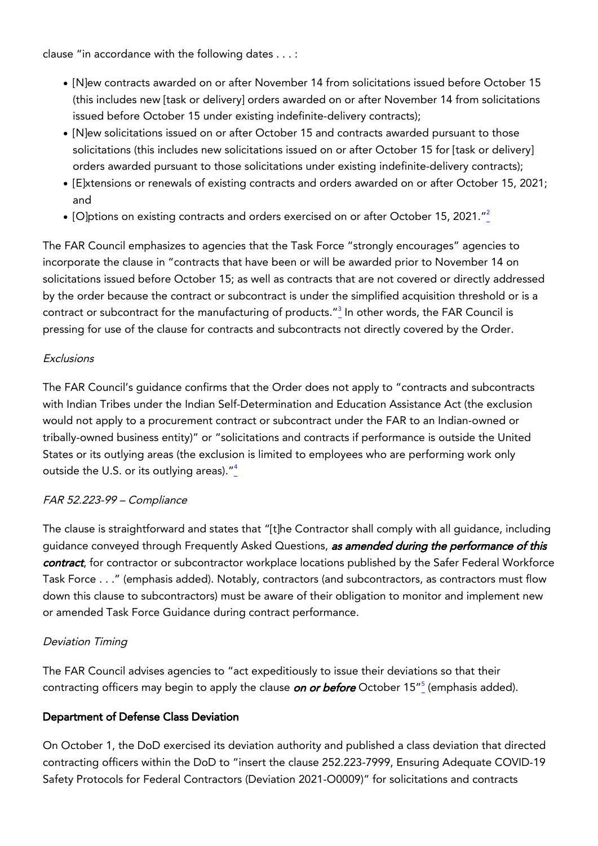clause "in accordance with the following dates . . . :

- [N]ew contracts awarded on or after November 14 from solicitations issued before October 15 (this includes new [task or delivery] orders awarded on or after November 14 from solicitations issued before October 15 under existing indefinite-delivery contracts);
- [N]ew solicitations issued on or after October 15 and contracts awarded pursuant to those solicitations (this includes new solicitations issued on or after October 15 for [task or delivery] orders awarded pursuant to those solicitations under existing indefinite-delivery contracts);
- [E]xtensions or renewals of existing contracts and orders awarded on or after October 15, 2021; and
- [O]ptions on existing contracts and orders exercised on or after October 15, [2](https://www.mayerbrown.com/en/perspectives-events/publications/2021/10/us-issues-federal-agency-covid-contract-clause-and-policy-direction-along-with-immediate-dod-and-gsa-implementation?utm_source=vuture&utm_medium=email&utm_campaign={vx:campaign%20name}#Two)021."<sup>2</sup>

The FAR Council emphasizes to agencies that the Task Force "strongly encourages" agencies to incorporate the clause in "contracts that have been or will be awarded prior to November 14 on solicitations issued before October 15; as well as contracts that are not covered or directly addressed by the order because the contract or subcontract is under the simplified acquisition threshold or is a contract or subcontract for the manufacturing of products." $^2$  In other words, the FAR Council is pressing for use of the clause for contracts and subcontracts not directly covered by the Order.

#### **Exclusions**

The FAR Council's guidance confirms that the Order does not apply to "contracts and subcontracts with Indian Tribes under the Indian Self-Determination and Education Assistance Act (the exclusion would not apply to a procurement contract or subcontract under the FAR to an Indian-owned or tribally-owned business entity)" or "solicitations and contracts if performance is outside the United States or its outlying areas (the exclusion is limited to employees who are performing work only outside the U.S. or its outlying areas)."<sup>[4](https://www.mayerbrown.com/en/perspectives-events/publications/2021/10/us-issues-federal-agency-covid-contract-clause-and-policy-direction-along-with-immediate-dod-and-gsa-implementation?utm_source=vuture&utm_medium=email&utm_campaign={vx:campaign%20name}#Four)</sup>

## FAR 52.223-99 – Compliance

The clause is straightforward and states that "[t]he Contractor shall comply with all guidance, including guidance conveyed through Frequently Asked Questions, as amended during the performance of this contract, for contractor or subcontractor workplace locations published by the Safer Federal Workforce Task Force . . ." (emphasis added). Notably, contractors (and subcontractors, as contractors must flow down this clause to subcontractors) must be aware of their obligation to monitor and implement new or amended Task Force Guidance during contract performance.

## Deviation Timing

The FAR Council advises agencies to "act expeditiously to issue their deviations so that their contracting officers may begin to apply the clause *on or before* October 1[5](https://www.mayerbrown.com/en/perspectives-events/publications/2021/10/us-issues-federal-agency-covid-contract-clause-and-policy-direction-along-with-immediate-dod-and-gsa-implementation?utm_source=vuture&utm_medium=email&utm_campaign={vx:campaign%20name}#Five)"<u><sup>5</sup></u> (emphasis added).

## Department of Defense Class Deviation

On October 1, the DoD exercised its deviation authority and published a class deviation that directed contracting officers within the DoD to "insert the clause 252.223-7999, Ensuring Adequate COVID-19 Safety Protocols for Federal Contractors (Deviation 2021-O0009)" for solicitations and contracts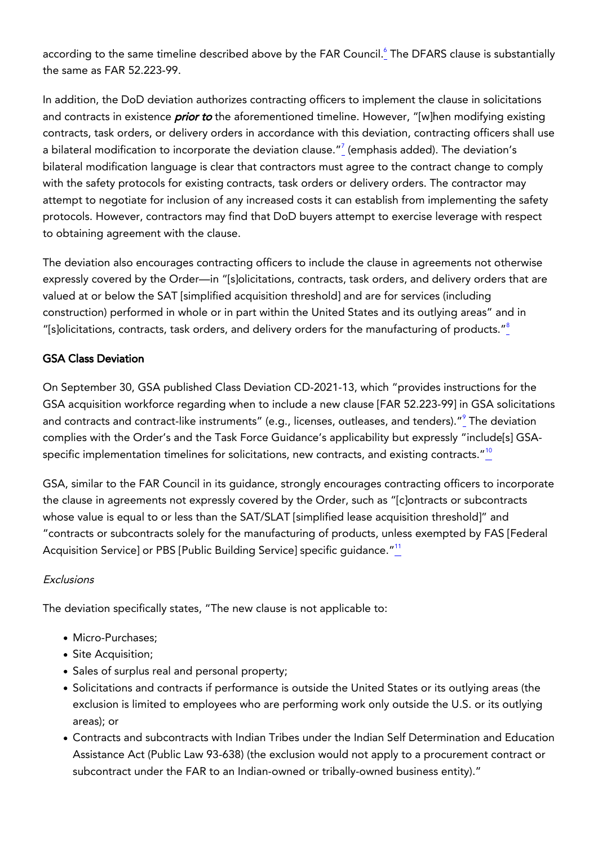according to the same timeline described above by the FAR Council.<u><sup>[6](https://www.mayerbrown.com/en/perspectives-events/publications/2021/10/us-issues-federal-agency-covid-contract-clause-and-policy-direction-along-with-immediate-dod-and-gsa-implementation?utm_source=vuture&utm_medium=email&utm_campaign={vx:campaign%20name}#Six)</sup></u> The DFARS clause is substantially the same as FAR 52.223-99.

In addition, the DoD deviation authorizes contracting officers to implement the clause in solicitations and contracts in existence *prior to* the aforementioned timeline. However, "[w]hen modifying existing contracts, task orders, or delivery orders in accordance with this deviation, contracting officers shall use a bilateral modification to incorporate the deviation clause."<sup>[7](https://www.mayerbrown.com/en/perspectives-events/publications/2021/10/us-issues-federal-agency-covid-contract-clause-and-policy-direction-along-with-immediate-dod-and-gsa-implementation?utm_source=vuture&utm_medium=email&utm_campaign={vx:campaign%20name}#Seven)</sup> (emphasis added). The deviation's bilateral modification language is clear that contractors must agree to the contract change to comply with the safety protocols for existing contracts, task orders or delivery orders. The contractor may attempt to negotiate for inclusion of any increased costs it can establish from implementing the safety protocols. However, contractors may find that DoD buyers attempt to exercise leverage with respect to obtaining agreement with the clause.

The deviation also encourages contracting officers to include the clause in agreements not otherwise expressly covered by the Order—in "[s]olicitations, contracts, task orders, and delivery orders that are valued at or below the SAT [simplified acquisition threshold] and are for services (including construction) performed in whole or in part within the United States and its outlying areas" and in "[s]olicitations, contracts, task orders, and delivery orders for the manufacturing of products." $8$ 

## GSA Class Deviation

On September 30, GSA published Class Deviation CD-2021-13, which "provides instructions for the GSA acquisition workforce regarding when to include a new clause [FAR 52.223-99] in GSA solicitations and contracts and contract-like instruments" (e.g., licenses, outleases, and tenders)." $^{\circ}_{-}$  The deviation complies with the Order's and the Task Force Guidance's applicability but expressly "include[s] GSAspecific implementation timelines for solicitations, new contracts, and existing contracts. $10^{\circ}$  $10^{\circ}$ 

GSA, similar to the FAR Council in its guidance, strongly encourages contracting officers to incorporate the clause in agreements not expressly covered by the Order, such as "[c]ontracts or subcontracts whose value is equal to or less than the SAT/SLAT [simplified lease acquisition threshold]" and "contracts or subcontracts solely for the manufacturing of products, unless exempted by FAS [Federal Acquisition Service] or PBS [Public Building Service] specific guidance."<sup>[11](https://www.mayerbrown.com/en/perspectives-events/publications/2021/10/us-issues-federal-agency-covid-contract-clause-and-policy-direction-along-with-immediate-dod-and-gsa-implementation?utm_source=vuture&utm_medium=email&utm_campaign={vx:campaign%20name}#Eleven)</sup>

## Exclusions

The deviation specifically states, "The new clause is not applicable to:

- Micro-Purchases:
- Site Acquisition;
- Sales of surplus real and personal property;
- Solicitations and contracts if performance is outside the United States or its outlying areas (the exclusion is limited to employees who are performing work only outside the U.S. or its outlying areas); or
- Contracts and subcontracts with Indian Tribes under the Indian Self Determination and Education Assistance Act (Public Law 93-638) (the exclusion would not apply to a procurement contract or subcontract under the FAR to an Indian-owned or tribally-owned business entity)."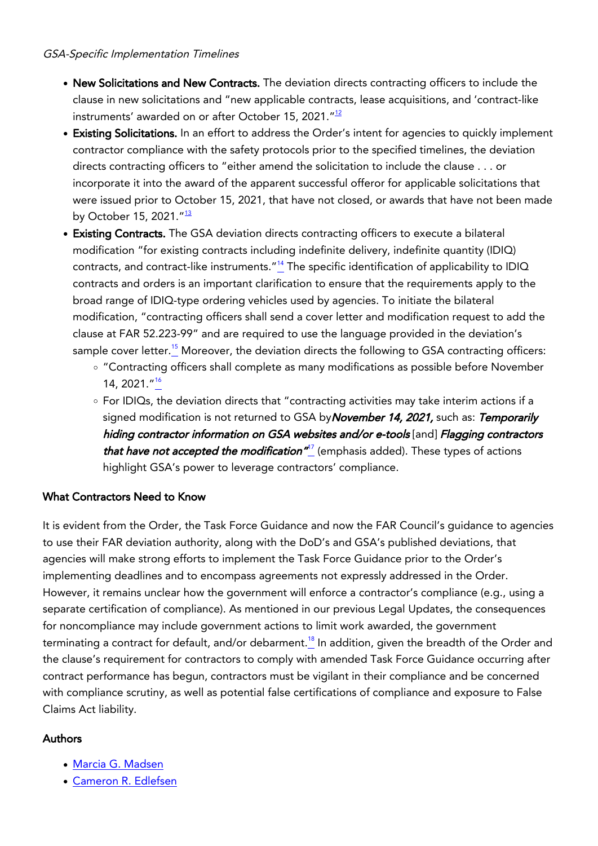#### GSA-Specific Implementation Timelines

- New Solicitations and New Contracts. The deviation directs contracting officers to include the clause in new solicitations and "new applicable contracts, lease acquisitions, and 'contract-like instruments' awarded on or after October 15, 2021. $^{\prime\prime}$ <sup>[12](https://www.mayerbrown.com/en/perspectives-events/publications/2021/10/us-issues-federal-agency-covid-contract-clause-and-policy-direction-along-with-immediate-dod-and-gsa-implementation?utm_source=vuture&utm_medium=email&utm_campaign={vx:campaign%20name}#Twelve)</sup>
- Existing Solicitations. In an effort to address the Order's intent for agencies to quickly implement contractor compliance with the safety protocols prior to the specified timelines, the deviation directs contracting officers to "either amend the solicitation to include the clause . . . or incorporate it into the award of the apparent successful offeror for applicable solicitations that were issued prior to October 15, 2021, that have not closed, or awards that have not been made by October 15, 2021."<sup>[13](https://www.mayerbrown.com/en/perspectives-events/publications/2021/10/us-issues-federal-agency-covid-contract-clause-and-policy-direction-along-with-immediate-dod-and-gsa-implementation?utm_source=vuture&utm_medium=email&utm_campaign={vx:campaign%20name}#Thirteen)</sup>
- **Existing Contracts.** The GSA deviation directs contracting officers to execute a bilateral modification "for existing contracts including indefinite delivery, indefinite quantity (IDIQ) contracts, and contract-like instruments.<sup>"[14](https://www.mayerbrown.com/en/perspectives-events/publications/2021/10/us-issues-federal-agency-covid-contract-clause-and-policy-direction-along-with-immediate-dod-and-gsa-implementation?utm_source=vuture&utm_medium=email&utm_campaign={vx:campaign%20name}#Fourteen)</sup> The specific identification of applicability to IDIQ contracts and orders is an important clarification to ensure that the requirements apply to the broad range of IDIQ-type ordering vehicles used by agencies. To initiate the bilateral modification, "contracting officers shall send a cover letter and modification request to add the clause at FAR 52.223-99" and are required to use the language provided in the deviation's sample cover letter.<sup>[15](https://www.mayerbrown.com/en/perspectives-events/publications/2021/10/us-issues-federal-agency-covid-contract-clause-and-policy-direction-along-with-immediate-dod-and-gsa-implementation?utm_source=vuture&utm_medium=email&utm_campaign={vx:campaign%20name}#Fifteen)</sup> Moreover, the deviation directs the following to GSA contracting officers:
	- "Contracting officers shall complete as many modifications as possible before November 14, 2021."[16](https://www.mayerbrown.com/en/perspectives-events/publications/2021/10/us-issues-federal-agency-covid-contract-clause-and-policy-direction-along-with-immediate-dod-and-gsa-implementation?utm_source=vuture&utm_medium=email&utm_campaign={vx:campaign%20name}#Sixteen)
	- For IDIQs, the deviation directs that "contracting activities may take interim actions if a signed modification is not returned to GSA by November 14, 2021, such as: Temporarily hiding contractor information on GSA websites and/or e-tools [and] Flagging contractors *that have not accepted the modification"* (emphasis added). These types of actions highlight GSA's power to leverage contractors' compliance.

# What Contractors Need to Know

It is evident from the Order, the Task Force Guidance and now the FAR Council's guidance to agencies to use their FAR deviation authority, along with the DoD's and GSA's published deviations, that agencies will make strong efforts to implement the Task Force Guidance prior to the Order's implementing deadlines and to encompass agreements not expressly addressed in the Order. However, it remains unclear how the government will enforce a contractor's compliance (e.g., using a separate certification of compliance). As mentioned in our previous Legal Updates, the consequences for noncompliance may include government actions to limit work awarded, the government terminating a contract for default, and/or debarment.<sup>[18](https://www.mayerbrown.com/en/perspectives-events/publications/2021/10/us-issues-federal-agency-covid-contract-clause-and-policy-direction-along-with-immediate-dod-and-gsa-implementation?utm_source=vuture&utm_medium=email&utm_campaign={vx:campaign%20name}#Eighteen)</sup> In addition, given the breadth of the Order and the clause's requirement for contractors to comply with amended Task Force Guidance occurring after contract performance has begun, contractors must be vigilant in their compliance and be concerned with compliance scrutiny, as well as potential false certifications of compliance and exposure to False Claims Act liability.

## Authors

- [Marcia G. Madsen](https://www.mayerbrown.com/en/people/m/madsen-marcia-g)
- [Cameron R. Edlefsen](https://www.mayerbrown.com/en/people/e/cameron-edlefsen)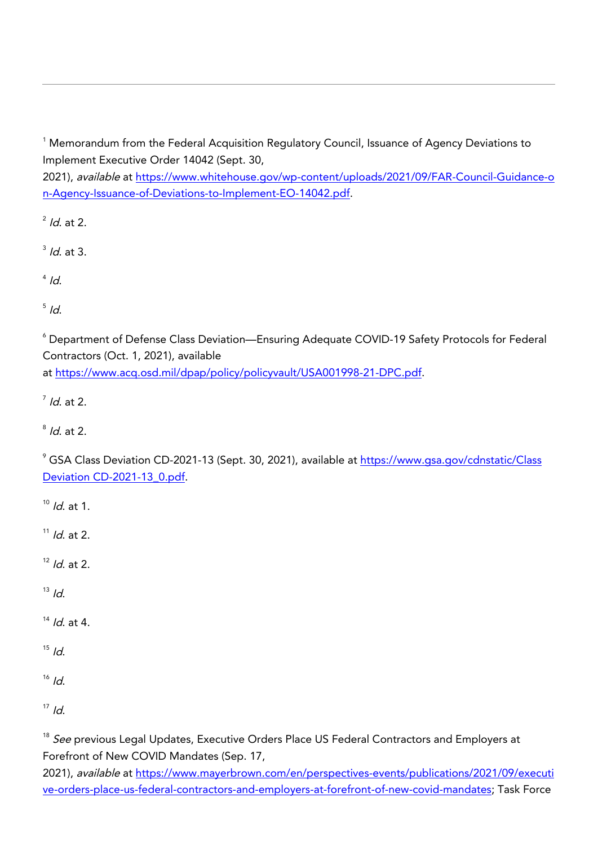$^\text{1}$  Memorandum from the Federal Acquisition Regulatory Council, Issuance of Agency Deviations to Implement Executive Order 14042 (Sept. 30,

2021), available at [https://www.whitehouse.gov/wp-content/uploads/2021/09/FAR-Council-Guidance-o](https://www.whitehouse.gov/wp-content/uploads/2021/09/FAR-Council-Guidance-on-Agency-Issuance-of-Deviations-to-Implement-EO-14042.pdf) [n-Agency-Issuance-of-Deviations-to-Implement-EO-14042.pdf](https://www.whitehouse.gov/wp-content/uploads/2021/09/FAR-Council-Guidance-on-Agency-Issuance-of-Deviations-to-Implement-EO-14042.pdf).

 $^2$  *ld.* at 2.

 $3$  *ld.* at 3.

 $^{4}$  Id.

 $\frac{5}{1}$  Id.

 $^\circ$  Department of Defense Class Deviation—Ensuring Adequate COVID-19 Safety Protocols for Federal Contractors (Oct. 1, 2021), available at [https://www.acq.osd.mil/dpap/policy/policyvault/USA001998-21-DPC.pdf.](https://www.acq.osd.mil/dpap/policy/policyvault/USA001998-21-DPC.pdf)

 $^7$  *ld.* at 2.

 $^8$  *ld*. at 2.

<sup>9</sup> GSA Class Deviation CD-2021-13 (Sept. 30, 2021), available at <u>[https://www.gsa.gov/cdnstatic/Class](https://www.gsa.gov/cdnstatic/Class%20Deviation%20CD-2021-13_0.pdf)</u> [Deviation CD-2021-13\\_0.pdf](https://www.gsa.gov/cdnstatic/Class%20Deviation%20CD-2021-13_0.pdf).

 $10^{10}$  *ld.* at 1.

 $11$  *ld.* at 2.

 $12$  *Id.* at 2.

 $13$  Id.

 $14$  *Id.* at 4.

 $15$  Id.

 $16$  *Id.* 

 $17$  Id.

<sup>18</sup> See previous Legal Updates, Executive Orders Place US Federal Contractors and Employers at Forefront of New COVID Mandates (Sep. 17,

2021), available at [https://www.mayerbrown.com/en/perspectives-events/publications/2021/09/executi](https://www.mayerbrown.com/en/perspectives-events/publications/2021/09/executive-orders-place-us-federal-contractors-and-employers-at-forefront-of-new-covid-mandates) [ve-orders-place-us-federal-contractors-and-employers-at-forefront-of-new-covid-mandates](https://www.mayerbrown.com/en/perspectives-events/publications/2021/09/executive-orders-place-us-federal-contractors-and-employers-at-forefront-of-new-covid-mandates); Task Force